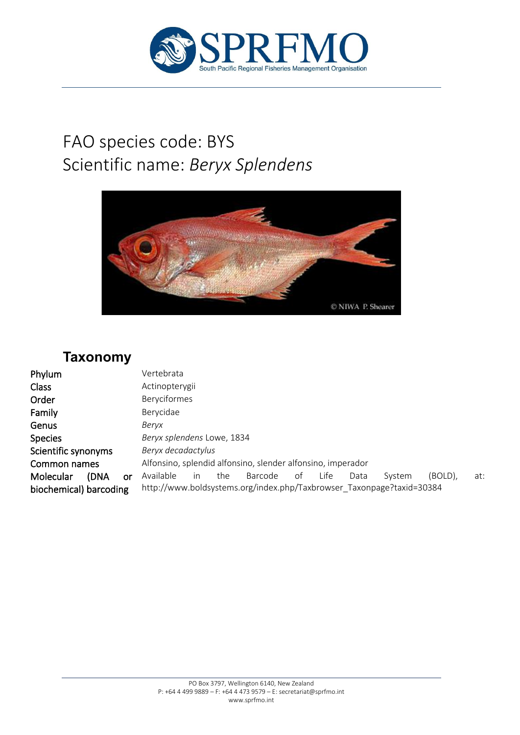

# FAO species code: BYS Scientific name: *Beryx Splendens*



# **Taxonomy**

| Phylum                                                   | Vertebrata                                                                                                                                                          |  |  |  |  |  |  |
|----------------------------------------------------------|---------------------------------------------------------------------------------------------------------------------------------------------------------------------|--|--|--|--|--|--|
| <b>Class</b>                                             | Actinopterygii                                                                                                                                                      |  |  |  |  |  |  |
| Order                                                    | Beryciformes                                                                                                                                                        |  |  |  |  |  |  |
| Family                                                   | Berycidae                                                                                                                                                           |  |  |  |  |  |  |
| Genus                                                    | Beryx                                                                                                                                                               |  |  |  |  |  |  |
| <b>Species</b>                                           | Beryx splendens Lowe, 1834                                                                                                                                          |  |  |  |  |  |  |
| Scientific synonyms                                      | Beryx decadactylus                                                                                                                                                  |  |  |  |  |  |  |
| Common names                                             | Alfonsino, splendid alfonsino, slender alfonsino, imperador                                                                                                         |  |  |  |  |  |  |
| Molecular<br>(DNA<br><b>or</b><br>biochemical) barcoding | Available<br>(BOLD).<br>Life<br>Barcode<br>of<br>Data<br>System<br>at:<br>the<br><i>in</i><br>http://www.boldsystems.org/index.php/Taxbrowser_Taxonpage?taxid=30384 |  |  |  |  |  |  |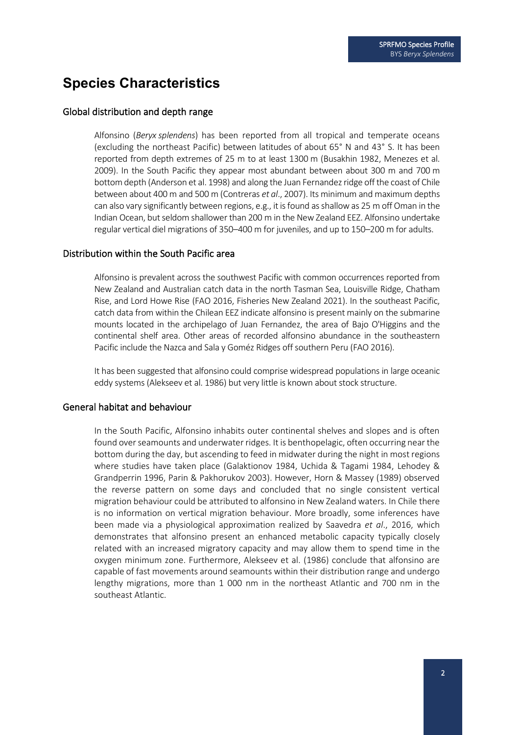## **Species Characteristics**

#### Global distribution and depth range

Alfonsino (*Beryx splendens*) has been reported from all tropical and temperate oceans (excluding the northeast Pacific) between latitudes of about 65° N and 43° S. It has been reported from depth extremes of 25 m to at least 1300 m (Busakhin 1982, Menezes et al. 2009). In the South Pacific they appear most abundant between about 300 m and 700 m bottom depth (Anderson et al. 1998) and along the Juan Fernandez ridge off the coast of Chile between about 400 m and 500 m (Contreras *et al*., 2007). Its minimum and maximum depths can also vary significantly between regions, e.g., it is found as shallow as 25 m off Oman in the Indian Ocean, but seldom shallower than 200 m in the New Zealand EEZ. Alfonsino undertake regular vertical diel migrations of 350–400 m for juveniles, and up to 150–200 m for adults.

#### Distribution within the South Pacific area

Alfonsino is prevalent across the southwest Pacific with common occurrences reported from New Zealand and Australian catch data in the north Tasman Sea, Louisville Ridge, Chatham Rise, and Lord Howe Rise (FAO 2016, Fisheries New Zealand 2021). In the southeast Pacific, catch data from within the Chilean EEZ indicate alfonsino is present mainly on the submarine mounts located in the archipelago of Juan Fernandez, the area of Bajo O'Higgins and the continental shelf area. Other areas of recorded alfonsino abundance in the southeastern Pacific include the Nazca and Sala y Goméz Ridges off southern Peru (FAO 2016).

It has been suggested that alfonsino could comprise widespread populations in large oceanic eddy systems (Alekseev et al. 1986) but very little is known about stock structure.

#### General habitat and behaviour

In the South Pacific, Alfonsino inhabits outer continental shelves and slopes and is often found over seamounts and underwater ridges. It is benthopelagic, often occurring near the bottom during the day, but ascending to feed in midwater during the night in most regions where studies have taken place (Galaktionov 1984, Uchida & Tagami 1984, Lehodey & Grandperrin 1996, Parin & Pakhorukov 2003). However, Horn & Massey (1989) observed the reverse pattern on some days and concluded that no single consistent vertical migration behaviour could be attributed to alfonsino in New Zealand waters. In Chile there is no information on vertical migration behaviour. More broadly, some inferences have been made via a physiological approximation realized by Saavedra *et al*., 2016, which demonstrates that alfonsino present an enhanced metabolic capacity typically closely related with an increased migratory capacity and may allow them to spend time in the oxygen minimum zone. Furthermore, Alekseev et al. (1986) conclude that alfonsino are capable of fast movements around seamounts within their distribution range and undergo lengthy migrations, more than 1 000 nm in the northeast Atlantic and 700 nm in the southeast Atlantic.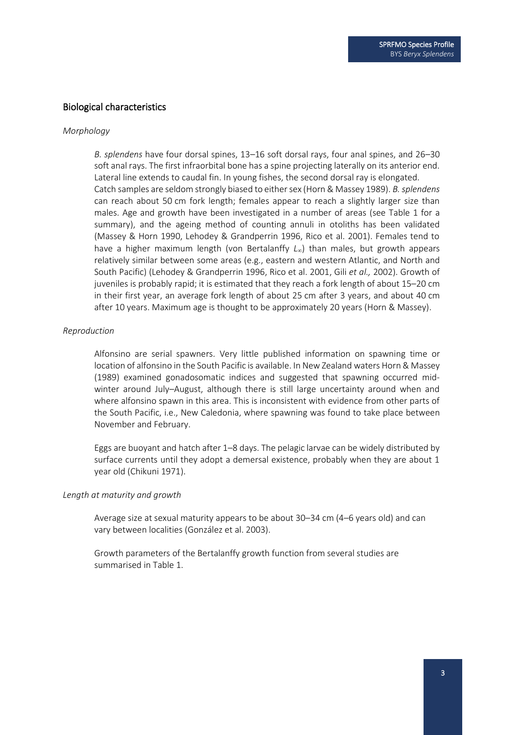#### Biological characteristics

#### *Morphology*

*B. splendens* have four dorsal spines, 13–16 soft dorsal rays, four anal spines, and 26–30 soft anal rays. The first infraorbital bone has a spine projecting laterally on its anterior end. Lateral line extends to caudal fin. In young fishes, the second dorsal ray is elongated. Catch samples are seldom strongly biased to either sex (Horn & Massey 1989). *B. splendens* can reach about 50 cm fork length; females appear to reach a slightly larger size than males. Age and growth have been investigated in a number of areas (see Table 1 for a summary), and the ageing method of counting annuli in otoliths has been validated (Massey & Horn 1990, Lehodey & Grandperrin 1996, Rico et al. 2001). Females tend to have a higher maximum length (von Bertalanffy  $L_{\infty}$ ) than males, but growth appears relatively similar between some areas (e.g., eastern and western Atlantic, and North and South Pacific) (Lehodey & Grandperrin 1996, Rico et al. 2001, Gili *et al.,* 2002). Growth of juveniles is probably rapid; it is estimated that they reach a fork length of about 15–20 cm in their first year, an average fork length of about 25 cm after 3 years, and about 40 cm after 10 years. Maximum age is thought to be approximately 20 years (Horn & Massey).

#### *Reproduction*

Alfonsino are serial spawners. Very little published information on spawning time or location of alfonsino in the South Pacific is available. In New Zealand waters Horn & Massey (1989) examined gonadosomatic indices and suggested that spawning occurred midwinter around July–August, although there is still large uncertainty around when and where alfonsino spawn in this area. This is inconsistent with evidence from other parts of the South Pacific, i.e., New Caledonia, where spawning was found to take place between November and February.

Eggs are buoyant and hatch after 1–8 days. The pelagic larvae can be widely distributed by surface currents until they adopt a demersal existence, probably when they are about 1 year old (Chikuni 1971).

#### *Length at maturity and growth*

Average size at sexual maturity appears to be about 30–34 cm (4–6 years old) and can vary between localities (González et al. 2003).

Growth parameters of the Bertalanffy growth function from several studies are summarised in Table 1.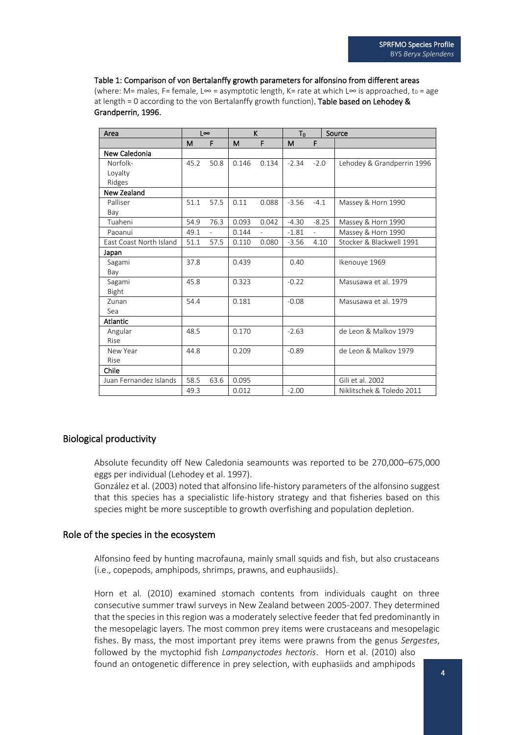#### Table 1: Comparison of von Bertalanffy growth parameters for alfonsino from different areas

(where: M= males, F= female, L∞ = asymptotic length, K= rate at which L∞ is approached, to = age at length = 0 according to the von Bertalanffy growth function). Table based on Lehodey & Grandperrin, 1996.

| Area                    |      | $  \infty$ | K.    |                | T <sub>0</sub> |                | Source                     |
|-------------------------|------|------------|-------|----------------|----------------|----------------|----------------------------|
|                         | м    | F          | M     | F              | M              | F              |                            |
| New Caledonia           |      |            |       |                |                |                |                            |
| Norfolk-                | 45.2 | 50.8       | 0.146 | 0.134          | $-2.34$        | $-2.0$         | Lehodey & Grandperrin 1996 |
| Loyalty                 |      |            |       |                |                |                |                            |
| Ridges                  |      |            |       |                |                |                |                            |
| New Zealand             |      |            |       |                |                |                |                            |
| Palliser                | 51.1 | 57.5       | 0.11  | 0.088          | $-3.56$        | $-4.1$         | Massey & Horn 1990         |
| Bay                     |      |            |       |                |                |                |                            |
| Tuaheni                 | 54.9 | 76.3       | 0.093 | 0.042          | $-4.30$        | $-8.25$        | Massey & Horn 1990         |
| Paoanui                 | 49.1 |            | 0.144 | $\overline{a}$ | $-1.81$        | $\overline{a}$ | Massey & Horn 1990         |
| East Coast North Island | 51.1 | 57.5       | 0.110 | 0.080          | $-3.56$        | 4.10           | Stocker & Blackwell 1991   |
| Japan                   |      |            |       |                |                |                |                            |
| Sagami                  | 37.8 |            | 0.439 |                | 0.40           |                | Ikenouve 1969              |
| Bay                     |      |            |       |                |                |                |                            |
| Sagami                  | 45.8 |            | 0.323 |                | $-0.22$        |                | Masusawa et al. 1979       |
| Bight                   |      |            |       |                |                |                |                            |
| Zunan                   | 54.4 |            | 0.181 |                | $-0.08$        |                | Masusawa et al. 1979       |
| Sea                     |      |            |       |                |                |                |                            |
| <b>Atlantic</b>         |      |            |       |                |                |                |                            |
| Angular                 | 48.5 |            | 0.170 |                | $-2.63$        |                | de Leon & Malkov 1979      |
| Rise                    |      |            |       |                |                |                |                            |
| New Year                | 44.8 |            | 0.209 |                | $-0.89$        |                | de Leon & Malkov 1979      |
| Rise                    |      |            |       |                |                |                |                            |
| Chile                   |      |            |       |                |                |                |                            |
| Juan Fernandez Islands  | 58.5 | 63.6       | 0.095 |                |                |                | Gili et al. 2002           |
|                         | 49.3 |            | 0.012 |                | $-2.00$        |                | Niklitschek & Toledo 2011  |

#### Biological productivity

Absolute fecundity off New Caledonia seamounts was reported to be 270,000–675,000 eggs per individual (Lehodey et al. 1997).

González et al. (2003) noted that alfonsino life-history parameters of the alfonsino suggest that this species has a specialistic life-history strategy and that fisheries based on this species might be more susceptible to growth overfishing and population depletion.

#### Role of the species in the ecosystem

Alfonsino feed by hunting macrofauna, mainly small squids and fish, but also crustaceans (i.e., copepods, amphipods, shrimps, prawns, and euphausiids).

Horn et al. (2010) examined stomach contents from individuals caught on three consecutive summer trawl surveys in New Zealand between 2005-2007. They determined that the species in this region was a moderately selective feeder that fed predominantly in the mesopelagic layers. The most common prey items were crustaceans and mesopelagic fishes. By mass, the most important prey items were prawns from the genus *Sergestes*, followed by the myctophid fish *Lampanyctodes hectoris*. Horn et al. (2010) also found an ontogenetic difference in prey selection, with euphasiids and amphipods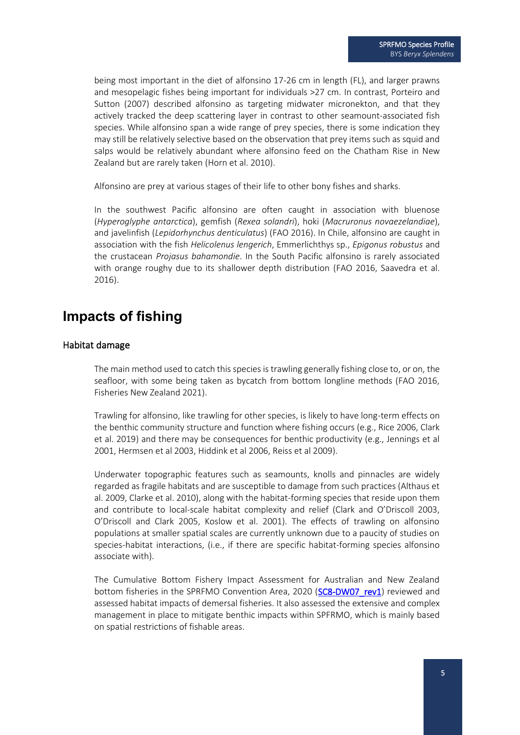being most important in the diet of alfonsino 17-26 cm in length (FL), and larger prawns and mesopelagic fishes being important for individuals >27 cm. In contrast, Porteiro and Sutton (2007) described alfonsino as targeting midwater micronekton, and that they actively tracked the deep scattering layer in contrast to other seamount-associated fish species. While alfonsino span a wide range of prey species, there is some indication they may still be relatively selective based on the observation that prey items such as squid and salps would be relatively abundant where alfonsino feed on the Chatham Rise in New Zealand but are rarely taken (Horn et al. 2010).

Alfonsino are prey at various stages of their life to other bony fishes and sharks.

In the southwest Pacific alfonsino are often caught in association with bluenose (*Hyperoglyphe antarctica*), gemfish (*Rexea solandri*), hoki (*Macruronus novaezelandiae*), and javelinfish (*Lepidorhynchus denticulatus*) (FAO 2016). In Chile, alfonsino are caught in association with the fish *Helicolenus lengerich*, Emmerlichthys sp., *Epigonus robustus* and the crustacean *Projasus bahamondie*. In the South Pacific alfonsino is rarely associated with orange roughy due to its shallower depth distribution (FAO 2016, Saavedra et al. 2016).

### **Impacts of fishing**

#### Habitat damage

The main method used to catch this species is trawling generally fishing close to, or on, the seafloor, with some being taken as bycatch from bottom longline methods (FAO 2016, Fisheries New Zealand 2021).

Trawling for alfonsino, like trawling for other species, is likely to have long-term effects on the benthic community structure and function where fishing occurs (e.g., Rice 2006, Clark et al. 2019) and there may be consequences for benthic productivity (e.g., Jennings et al 2001, Hermsen et al 2003, Hiddink et al 2006, Reiss et al 2009).

Underwater topographic features such as seamounts, knolls and pinnacles are widely regarded as fragile habitats and are susceptible to damage from such practices (Althaus et al. 2009, Clarke et al. 2010), along with the habitat-forming species that reside upon them and contribute to local-scale habitat complexity and relief (Clark and O'Driscoll 2003, O'Driscoll and Clark 2005, Koslow et al. 2001). The effects of trawling on alfonsino populations at smaller spatial scales are currently unknown due to a paucity of studies on species-habitat interactions, (i.e., if there are specific habitat-forming species alfonsino associate with).

The Cumulative Bottom Fishery Impact Assessment for Australian and New Zealand bottom fisheries in the SPRFMO Convention Area, 2020 [\(SC8-DW07\\_rev1\)](https://www.sprfmo.int/assets/2020-SC8/SC8-DW07-rev-1-Cumulative-Bottom-Fishery-Impact-Assessment-for-Australia-and-New-Zealand.pdf) reviewed and assessed habitat impacts of demersal fisheries. It also assessed the extensive and complex management in place to mitigate benthic impacts within SPFRMO, which is mainly based on spatial restrictions of fishable areas.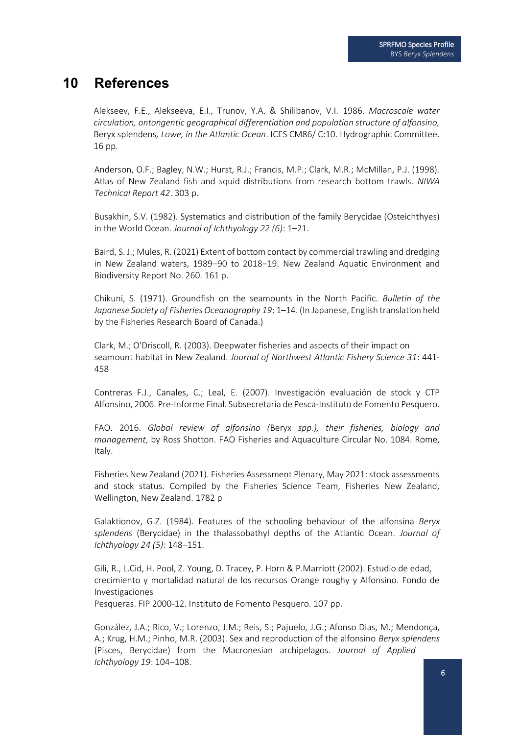### **10 References**

Alekseev, F.E., Alekseeva, E.I., Trunov, Y.A. & Shilibanov, V.I. 1986. *Macroscale water circulation, ontongentic geographical differentiation and population structure of alfonsino,*  Beryx splendens*, Lowe, in the Atlantic Ocean*. ICES CM86/ C:10. Hydrographic Committee. 16 pp.

Anderson, O.F.; Bagley, N.W.; Hurst, R.J.; Francis, M.P.; Clark, M.R.; McMillan, P.J. (1998). Atlas of New Zealand fish and squid distributions from research bottom trawls. *NIWA Technical Report 42*. 303 p.

Busakhin, S.V. (1982). Systematics and distribution of the family Berycidae (Osteichthyes) in the World Ocean. *Journal of Ichthyology 22 (6)*: 1–21.

Baird, S. J.; Mules, R. (2021) Extent of bottom contact by commercial trawling and dredging in New Zealand waters, 1989–90 to 2018–19. New Zealand Aquatic Environment and Biodiversity Report No. 260. 161 p.

Chikuni, S. (1971). Groundfish on the seamounts in the North Pacific. *Bulletin of the Japanese Society of Fisheries Oceanography 19*: 1–14. (In Japanese, English translation held by the Fisheries Research Board of Canada.)

Clark, M.; O'Driscoll, R. (2003). Deepwater fisheries and aspects of their impact on seamount habitat in New Zealand. *Journal of Northwest Atlantic Fishery Science 31*: 441- 458

Contreras F.J., Canales, C.; Leal, E. (2007). Investigación evaluación de stock y CTP Alfonsino, 2006. Pre-Informe Final. Subsecretaría de Pesca-Instituto de Fomento Pesquero.

FAO. 2016. *Global review of alfonsino (*Beryx *spp.), their fisheries, biology and management*, by Ross Shotton. FAO Fisheries and Aquaculture Circular No. 1084. Rome, Italy.

Fisheries New Zealand (2021). Fisheries Assessment Plenary, May 2021: stock assessments and stock status. Compiled by the Fisheries Science Team, Fisheries New Zealand, Wellington, New Zealand. 1782 p

Galaktionov, G.Z. (1984). Features of the schooling behaviour of the alfonsina *Beryx splendens* (Berycidae) in the thalassobathyl depths of the Atlantic Ocean. *Journal of Ichthyology 24 (5)*: 148–151.

Gili, R., L.Cid, H. Pool, Z. Young, D. Tracey, P. Horn & P.Marriott (2002). Estudio de edad, crecimiento y mortalidad natural de los recursos Orange roughy y Alfonsino. Fondo de Investigaciones

Pesqueras. FIP 2000-12. Instituto de Fomento Pesquero. 107 pp.

González, J.A.; Rico, V.; Lorenzo, J.M.; Reis, S.; Pajuelo, J.G.; Afonso Dias, M.; Mendonça, A.; Krug, H.M.; Pinho, M.R. (2003). Sex and reproduction of the alfonsino *Beryx splendens* (Pisces, Berycidae) from the Macronesian archipelagos. *Journal of Applied Ichthyology 19*: 104–108.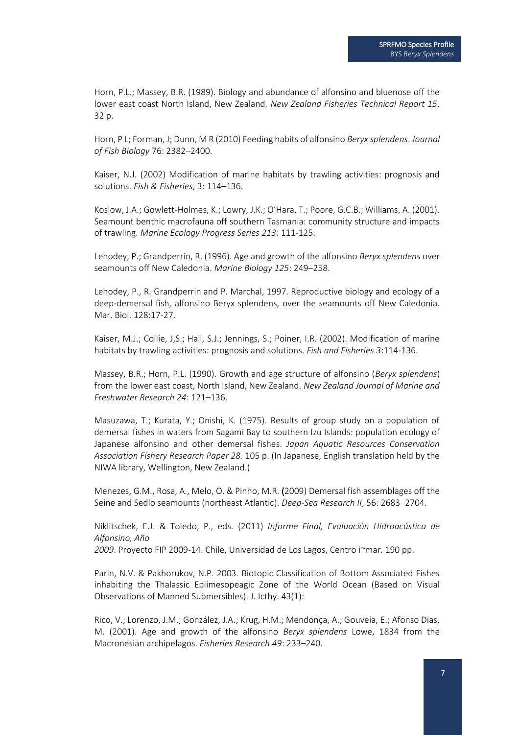Horn, P.L.; Massey, B.R. (1989). Biology and abundance of alfonsino and bluenose off the lower east coast North Island, New Zealand. *New Zealand Fisheries Technical Report 15*. 32 p.

Horn, P L; Forman, J; Dunn, M R (2010) Feeding habits of alfonsino *Beryx splendens*. *Journal of Fish Biology* 76: 2382–2400.

Kaiser, N.J. (2002) Modification of marine habitats by trawling activities: prognosis and solutions. *Fish & Fisheries*, 3: 114–136.

Koslow, J.A.; Gowlett-Holmes, K.; Lowry, J.K.; O'Hara, T.; Poore, G.C.B.; Williams, A. (2001). Seamount benthic macrofauna off southern Tasmania: community structure and impacts of trawling. *Marine Ecology Progress Series 213*: 111-125.

Lehodey, P.; Grandperrin, R. (1996). Age and growth of the alfonsino *Beryx splendens* over seamounts off New Caledonia. *Marine Biology 125*: 249–258.

Lehodey, P., R. Grandperrin and P. Marchal, 1997. Reproductive biology and ecology of a deep-demersal fish, alfonsino Beryx splendens, over the seamounts off New Caledonia. Mar. Biol. 128:17-27.

Kaiser, M.J.; Collie, J,S.; Hall, S.J.; Jennings, S.; Poiner, I.R. (2002). Modification of marine habitats by trawling activities: prognosis and solutions. *Fish and Fisheries 3*:114-136.

Massey, B.R.; Horn, P.L. (1990). Growth and age structure of alfonsino (*Beryx splendens*) from the lower east coast, North Island, New Zealand. *New Zealand Journal of Marine and Freshwater Research 24*: 121–136.

Masuzawa, T.; Kurata, Y.; Onishi, K. (1975). Results of group study on a population of demersal fishes in waters from Sagami Bay to southern Izu Islands: population ecology of Japanese alfonsino and other demersal fishes. *Japan Aquatic Resources Conservation Association Fishery Research Paper 28*. 105 p. (In Japanese, English translation held by the NIWA library, Wellington, New Zealand.)

Menezes, G.M., Rosa, A., Melo, O. & Pinho, M.R. (2009) Demersal fish assemblages off the Seine and Sedlo seamounts (northeast Atlantic). *Deep-Sea Research II*, 56: 2683–2704.

Niklitschek, E.J. & Toledo, P., eds. (2011) *Informe Final, Evaluación Hidroacústica de Alfonsino, Año*

*2009*. Proyecto FIP 2009-14. Chile, Universidad de Los Lagos, Centro i~mar. 190 pp.

Parin, N.V. & Pakhorukov, N.P. 2003. Biotopic Classification of Bottom Associated Fishes inhabiting the Thalassic Epiimesopeagic Zone of the World Ocean (Based on Visual Observations of Manned Submersibles). J. Icthy. 43(1):

Rico, V.; Lorenzo, J.M.; González, J.A.; Krug, H.M.; Mendonça, A.; Gouveia, E.; Afonso Dias, M. (2001). Age and growth of the alfonsino *Beryx splendens* Lowe, 1834 from the Macronesian archipelagos. *Fisheries Research 49*: 233–240.